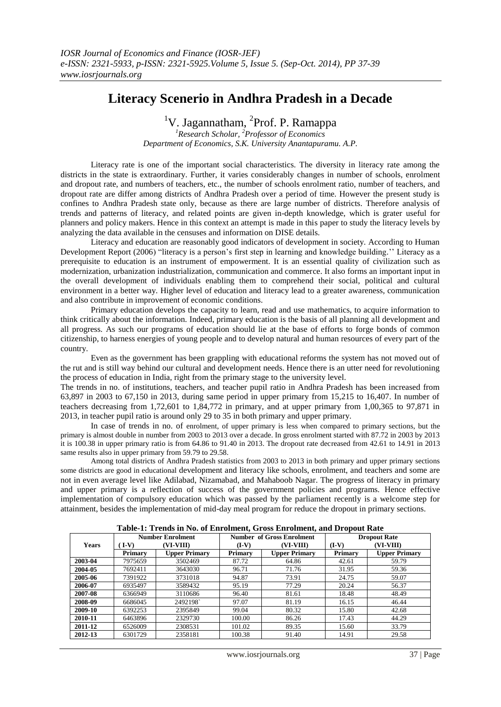## **Literacy Scenerio in Andhra Pradesh in a Decade**

<sup>1</sup>V. Jagannatham, <sup>2</sup>Prof. P. Ramappa

*<sup>1</sup>Research Scholar, <sup>2</sup>Professor of Economics Department of Economics, S.K. University Anantapuramu. A.P.*

Literacy rate is one of the important social characteristics. The diversity in literacy rate among the districts in the state is extraordinary. Further, it varies considerably changes in number of schools, enrolment and dropout rate, and numbers of teachers, etc., the number of schools enrolment ratio, number of teachers, and dropout rate are differ among districts of Andhra Pradesh over a period of time. However the present study is confines to Andhra Pradesh state only, because as there are large number of districts. Therefore analysis of trends and patterns of literacy, and related points are given in-depth knowledge, which is grater useful for planners and policy makers. Hence in this context an attempt is made in this paper to study the literacy levels by analyzing the data available in the censuses and information on DISE details.

Literacy and education are reasonably good indicators of development in society. According to Human Development Report (2006) "literacy is a person's first step in learning and knowledge building.'' Literacy as a prerequisite to education is an instrument of empowerment. It is an essential quality of civilization such as modernization, urbanization industrialization, communication and commerce. It also forms an important input in the overall development of individuals enabling them to comprehend their social, political and cultural environment in a better way. Higher level of education and literacy lead to a greater awareness, communication and also contribute in improvement of economic conditions.

Primary education develops the capacity to learn, read and use mathematics, to acquire information to think critically about the information. Indeed, primary education is the basis of all planning all development and all progress. As such our programs of education should lie at the base of efforts to forge bonds of common citizenship, to harness energies of young people and to develop natural and human resources of every part of the country.

Even as the government has been grappling with educational reforms the system has not moved out of the rut and is still way behind our cultural and development needs. Hence there is an utter need for revolutioning the process of education in India, right from the primary stage to the university level.

The trends in no. of institutions, teachers, and teacher pupil ratio in Andhra Pradesh has been increased from 63,897 in 2003 to 67,150 in 2013, during same period in upper primary from 15,215 to 16,407. In number of teachers decreasing from 1,72,601 to 1,84,772 in primary, and at upper primary from 1,00,365 to 97,871 in 2013, in teacher pupil ratio is around only 29 to 35 in both primary and upper primary.

In case of trends in no. of enrolment, of upper primary is less when compared to primary sections, but the primary is almost double in number from 2003 to 2013 over a decade. In gross enrolment started with 87.72 in 2003 by 2013 it is 100.38 in upper primary ratio is from 64.86 to 91.40 in 2013. The dropout rate decreased from 42.61 to 14.91 in 2013 same results also in upper primary from 59.79 to 29.58.

Among total districts of Andhra Pradesh statistics from 2003 to 2013 in both primary and upper primary sections some districts are good in educational development and literacy like schools, enrolment, and teachers and some are not in even average level like Adilabad, Nizamabad, and Mahaboob Nagar. The progress of literacy in primary and upper primary is a reflection of success of the government policies and programs. Hence effective implementation of compulsory education which was passed by the parliament recently is a welcome step for attainment, besides the implementation of mid-day meal program for reduce the dropout in primary sections.

| Table-1; Trends in No. 01 Enforment, Gross Enforment, and Dropout Kate |                               |                         |         |                           |                     |                      |  |  |  |  |
|------------------------------------------------------------------------|-------------------------------|-------------------------|---------|---------------------------|---------------------|----------------------|--|--|--|--|
|                                                                        |                               | <b>Number Enrolment</b> |         | Number of Gross Enrolment | <b>Dropout Rate</b> |                      |  |  |  |  |
| <b>Years</b>                                                           | $\mathbf{I} \cdot \mathbf{V}$ | (VI-VIII)               |         | (VI-VIII)                 | $(I-V)$             | (VI-VIII)            |  |  |  |  |
|                                                                        | Primary                       | <b>Upper Primary</b>    | Primary | <b>Upper Primary</b>      | <b>Primary</b>      | <b>Upper Primary</b> |  |  |  |  |
| 2003-04                                                                | 7975659                       | 3502469                 | 87.72   | 64.86                     | 42.61               | 59.79                |  |  |  |  |
| 2004-05                                                                | 7692411                       | 3643030                 | 96.71   | 71.76                     | 31.95               | 59.36                |  |  |  |  |
| 2005-06                                                                | 7391922                       | 3731018                 | 94.87   | 73.91                     | 24.75               | 59.07                |  |  |  |  |
| 2006-07                                                                | 6935497                       | 3589432                 | 95.19   | 77.29                     | 20.24               | 56.37                |  |  |  |  |
| 2007-08                                                                | 6366949                       | 3110686                 | 96.40   | 81.61                     | 18.48               | 48.49                |  |  |  |  |
| 2008-09                                                                | 6686045                       | 2492198                 | 97.07   | 81.19                     | 16.15               | 46.44                |  |  |  |  |
| 2009-10                                                                | 6392253                       | 2395849                 | 99.04   | 80.32                     | 15.80               | 42.68                |  |  |  |  |
| 2010-11                                                                | 6463896                       | 2329730                 | 100.00  | 86.26                     | 17.43               | 44.29                |  |  |  |  |
| 2011-12                                                                | 6526009                       | 2308531                 | 101.02  | 89.35                     | 15.60               | 33.79                |  |  |  |  |
| 2012-13                                                                | 6301729                       | 2358181                 | 100.38  | 91.40                     | 14.91               | 29.58                |  |  |  |  |

**Table-1: Trends in No. of Enrolment, Gross Enrolment, and Dropout Rate**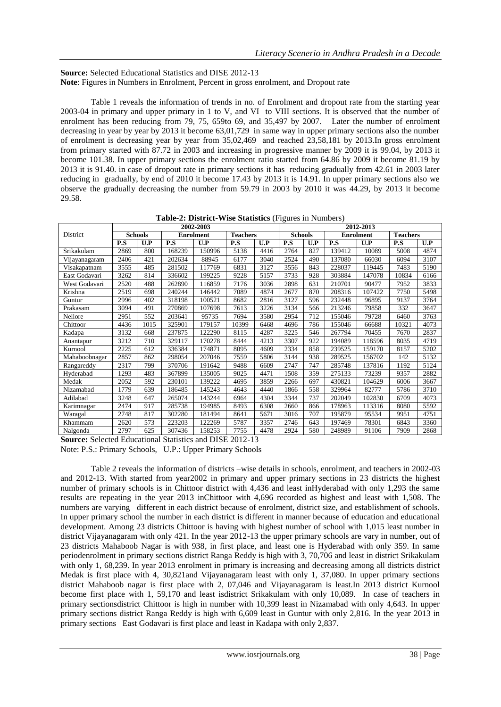**Source:** Selected Educational Statistics and DISE 2012-13 **Note**: Figures in Numbers in Enrolment, Percent in gross enrolment, and Dropout rate

Table 1 reveals the information of trends in no. of Enrolment and dropout rate from the starting year 2003-04 in primary and upper primary in 1 to V, and VI to VIII sections. It is observed that the number of enrolment has been reducing from 79, 75, 659to 69, and 35,497 by 2007. Later the number of enrolment decreasing in year by year by 2013 it become 63,01,729 in same way in upper primary sections also the number of enrolment is decreasing year by year from 35,02,469 and reached 23,58,181 by 2013.In gross enrolment from primary started with 87.72 in 2003 and increasing in progressive manner by 2009 it is 99.04, by 2013 it become 101.38. In upper primary sections the enrolment ratio started from 64.86 by 2009 it become 81.19 by 2013 it is 91.40. in case of dropout rate in primary sections it has reducing gradually from 42.61 in 2003 later reducing in gradually, by end of 2010 it become 17.43 by 2013 it is 14.91. In upper primary sections also we observe the gradually decreasing the number from 59.79 in 2003 by 2010 it was 44.29, by 2013 it become 29.58.

|               | 2002-2003      |      |                  |        |                 |      | 2012-2013      |     |                  |        |                 |      |
|---------------|----------------|------|------------------|--------|-----------------|------|----------------|-----|------------------|--------|-----------------|------|
| District      | <b>Schools</b> |      | <b>Enrolment</b> |        | <b>Teachers</b> |      | <b>Schools</b> |     | <b>Enrolment</b> |        | <b>Teachers</b> |      |
|               | P.S            | U.P  | P.S              | U.P    | P.S             | U.P  | P.S            | U.P | P.S              | U.P    | P.S             | U.P  |
| Srikakulam    | 2869           | 800  | 168239           | 150996 | 5138            | 4416 | 2764           | 827 | 139412           | 10089  | 5008            | 4874 |
| Vijayanagaram | 2406           | 421  | 202634           | 88945  | 6177            | 3040 | 2524           | 490 | 137080           | 66030  | 6094            | 3107 |
| Visakapatnam  | 3555           | 485  | 281502           | 117769 | 6831            | 3127 | 3556           | 843 | 228037           | 119445 | 7483            | 5190 |
| East Godavari | 3262           | 814  | 336602           | 199225 | 9228            | 5157 | 3733           | 928 | 303884           | 147078 | 10834           | 6166 |
| West Godavari | 2520           | 488  | 262890           | 116859 | 7176            | 3036 | 2898           | 631 | 210701           | 90477  | 7952            | 3833 |
| Krishna       | 2519           | 698  | 240244           | 146442 | 7089            | 4874 | 2677           | 870 | 208316           | 107422 | 7750            | 5498 |
| Guntur        | 2996           | 402  | 318198           | 100521 | 8682            | 2816 | 3127           | 596 | 232448           | 96895  | 9137            | 3764 |
| Prakasam      | 3094           | 491  | 270869           | 107698 | 7613            | 3226 | 3134           | 566 | 213246           | 79858  | 332             | 3647 |
| Nellore       | 2951           | 552  | 203641           | 95735  | 7694            | 3580 | 2954           | 712 | 155046           | 79728  | 6460            | 3763 |
| Chittoor      | 4436           | 1015 | 325901           | 179157 | 10399           | 6468 | 4696           | 786 | 155046           | 66688  | 10321           | 4073 |
| Kadapa        | 3132           | 668  | 237875           | 122290 | 8115            | 4287 | 3225           | 546 | 267794           | 70455  | 7670            | 2837 |
| Anantapur     | 3212           | 710  | 329117           | 170278 | 8444            | 4213 | 3307           | 922 | 194089           | 118596 | 8035            | 4719 |
| Kurnool       | 2225           | 612  | 336384           | 174871 | 8095            | 4609 | 2334           | 858 | 239525           | 159170 | 8157            | 5202 |
| Mahaboobnagar | 2857           | 862  | 298054           | 207046 | 7559            | 5806 | 3144           | 938 | 289525           | 156702 | 142             | 5132 |
| Rangareddy    | 2317           | 799  | 370706           | 191642 | 9488            | 6609 | 2747           | 747 | 285748           | 137816 | 1192            | 5124 |
| Hyderabad     | 1293           | 483  | 367899           | 135005 | 9025            | 4471 | 1508           | 359 | 275133           | 73239  | 9357            | 2882 |
| Medak         | 2052           | 592  | 230101           | 139222 | 4695            | 3859 | 2266           | 697 | 430821           | 104629 | 6006            | 3667 |
| Nizamabad     | 1779           | 639  | 186485           | 145243 | 4643            | 4440 | 1866           | 558 | 329964           | 82777  | 5786            | 3710 |
| Adilabad      | 3248           | 647  | 265074           | 143244 | 6964            | 4304 | 3344           | 737 | 202049           | 102830 | 6709            | 4073 |
| Karimnagar    | 2474           | 917  | 285738           | 194985 | 8493            | 6308 | 2660           | 866 | 178963           | 113316 | 8080            | 5592 |
| Waragal       | 2748           | 817  | 302280           | 181494 | 8641            | 5671 | 3016           | 707 | 195879           | 95534  | 9951            | 4751 |
| Khammam       | 2620           | 573  | 223203           | 122269 | 5787            | 3357 | 2746           | 643 | 197469           | 78301  | 6843            | 3360 |
| Nalgonda      | 2797           | 625  | 307436           | 158253 | 7755            | 4478 | 2924           | 580 | 248989           | 91106  | 7909            | 2868 |

**Table-2: District-Wise Statistics** (Figures in Numbers)

**Source:** Selected Educational Statistics and DISE 2012-13 Note: P.S.: Primary Schools, U.P.: Upper Primary Schools

Table 2 reveals the information of districts –wise details in schools, enrolment, and teachers in 2002-03 and 2012-13. With started from year2002 in primary and upper primary sections in 23 districts the highest number of primary schools is in Chittoor district with 4,436 and least inHyderabad with only 1,293 the same results are repeating in the year 2013 inChittoor with 4,696 recorded as highest and least with 1,508. The numbers are varying different in each district because of enrolment, district size, and establishment of schools. In upper primary school the number in each district is different in manner because of education and educational development. Among 23 districts Chittoor is having with highest number of school with 1,015 least number in district Vijayanagaram with only 421. In the year 2012-13 the upper primary schools are vary in number, out of 23 districts Mahaboob Nagar is with 938, in first place, and least one is Hyderabad with only 359. In same periodenrolment in primary sections district Ranga Reddy is high with 3, 70,706 and least in district Srikakulam with only 1, 68,239. In year 2013 enrolment in primary is increasing and decreasing among all districts district Medak is first place with 4, 30,821and Vijayanagaram least with only 1, 37,080. In upper primary sections district Mahaboob nagar is first place with 2, 07,046 and Vijayanagaram is least.In 2013 district Kurnool become first place with 1, 59,170 and least isdistrict Srikakulam with only 10,089. In case of teachers in primary sectionsdistrict Chittoor is high in number with 10,399 least in Nizamabad with only 4,643. In upper primary sections district Ranga Reddy is high with 6,609 least in Guntur with only 2,816. In the year 2013 in primary sections East Godavari is first place and least in Kadapa with only 2,837.